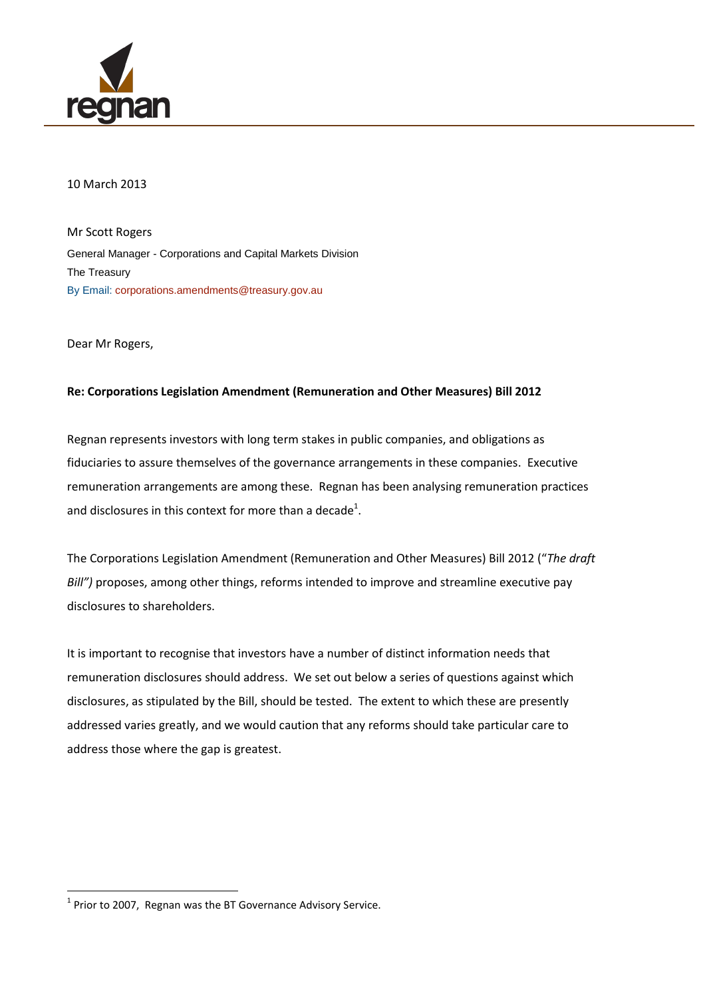

#### 10 March 2013

Mr Scott Rogers General Manager - Corporations and Capital Markets Division The Treasury By Email: [corporations.amendments@treasury.gov.au](mailto:corporations.amendments@treasury.gov.au?subject=Submission:%20Exposure%20Draft%20-%20Corporations%20Amendments%20–%20Improving%20disclosure%20requirements)

Dear Mr Rogers,

 $\overline{\phantom{a}}$ 

#### **Re: Corporations Legislation Amendment (Remuneration and Other Measures) Bill 2012**

Regnan represents investors with long term stakes in public companies, and obligations as fiduciaries to assure themselves of the governance arrangements in these companies. Executive remuneration arrangements are among these. Regnan has been analysing remuneration practices and disclosures in this context for more than a decade<sup>1</sup>.

The Corporations Legislation Amendment (Remuneration and Other Measures) Bill 2012 ("*The draft Bill")* proposes, among other things, reforms intended to improve and streamline executive pay disclosures to shareholders.

It is important to recognise that investors have a number of distinct information needs that remuneration disclosures should address. We set out below a series of questions against which disclosures, as stipulated by the Bill, should be tested. The extent to which these are presently addressed varies greatly, and we would caution that any reforms should take particular care to address those where the gap is greatest.

 $<sup>1</sup>$  Prior to 2007, Regnan was the BT Governance Advisory Service.</sup>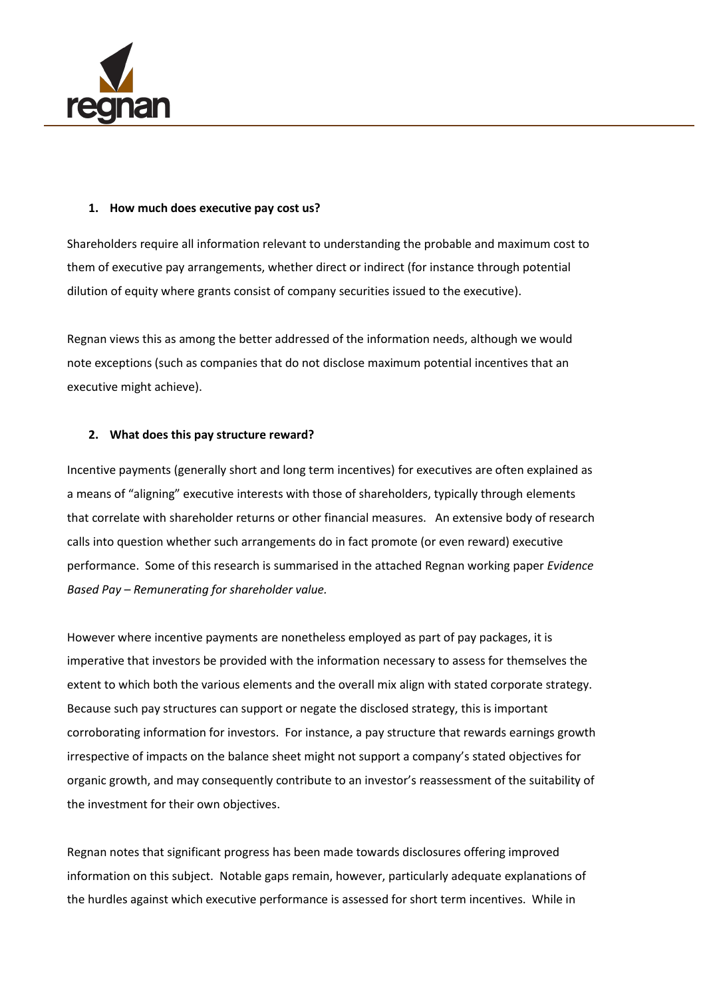

#### **1. How much does executive pay cost us?**

Shareholders require all information relevant to understanding the probable and maximum cost to them of executive pay arrangements, whether direct or indirect (for instance through potential dilution of equity where grants consist of company securities issued to the executive).

Regnan views this as among the better addressed of the information needs, although we would note exceptions (such as companies that do not disclose maximum potential incentives that an executive might achieve).

## **2. What does this pay structure reward?**

Incentive payments (generally short and long term incentives) for executives are often explained as a means of "aligning" executive interests with those of shareholders, typically through elements that correlate with shareholder returns or other financial measures. An extensive body of research calls into question whether such arrangements do in fact promote (or even reward) executive performance. Some of this research is summarised in the attached Regnan working paper *Evidence Based Pay – Remunerating for shareholder value.* 

However where incentive payments are nonetheless employed as part of pay packages, it is imperative that investors be provided with the information necessary to assess for themselves the extent to which both the various elements and the overall mix align with stated corporate strategy. Because such pay structures can support or negate the disclosed strategy, this is important corroborating information for investors. For instance, a pay structure that rewards earnings growth irrespective of impacts on the balance sheet might not support a company's stated objectives for organic growth, and may consequently contribute to an investor's reassessment of the suitability of the investment for their own objectives.

Regnan notes that significant progress has been made towards disclosures offering improved information on this subject. Notable gaps remain, however, particularly adequate explanations of the hurdles against which executive performance is assessed for short term incentives. While in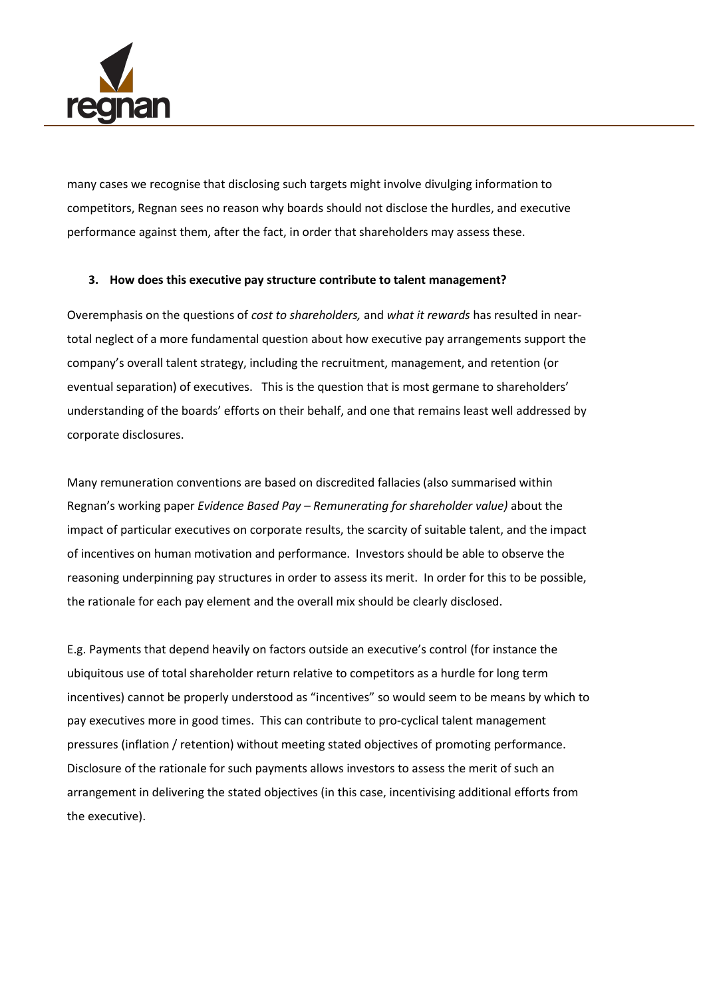

many cases we recognise that disclosing such targets might involve divulging information to competitors, Regnan sees no reason why boards should not disclose the hurdles, and executive performance against them, after the fact, in order that shareholders may assess these.

## **3. How does this executive pay structure contribute to talent management?**

Overemphasis on the questions of *cost to shareholders,* and *what it rewards* has resulted in neartotal neglect of a more fundamental question about how executive pay arrangements support the company's overall talent strategy, including the recruitment, management, and retention (or eventual separation) of executives. This is the question that is most germane to shareholders' understanding of the boards' efforts on their behalf, and one that remains least well addressed by corporate disclosures.

Many remuneration conventions are based on discredited fallacies (also summarised within Regnan's working paper *Evidence Based Pay – Remunerating for shareholder value)* about the impact of particular executives on corporate results, the scarcity of suitable talent, and the impact of incentives on human motivation and performance. Investors should be able to observe the reasoning underpinning pay structures in order to assess its merit. In order for this to be possible, the rationale for each pay element and the overall mix should be clearly disclosed.

E.g. Payments that depend heavily on factors outside an executive's control (for instance the ubiquitous use of total shareholder return relative to competitors as a hurdle for long term incentives) cannot be properly understood as "incentives" so would seem to be means by which to pay executives more in good times. This can contribute to pro-cyclical talent management pressures (inflation / retention) without meeting stated objectives of promoting performance. Disclosure of the rationale for such payments allows investors to assess the merit of such an arrangement in delivering the stated objectives (in this case, incentivising additional efforts from the executive).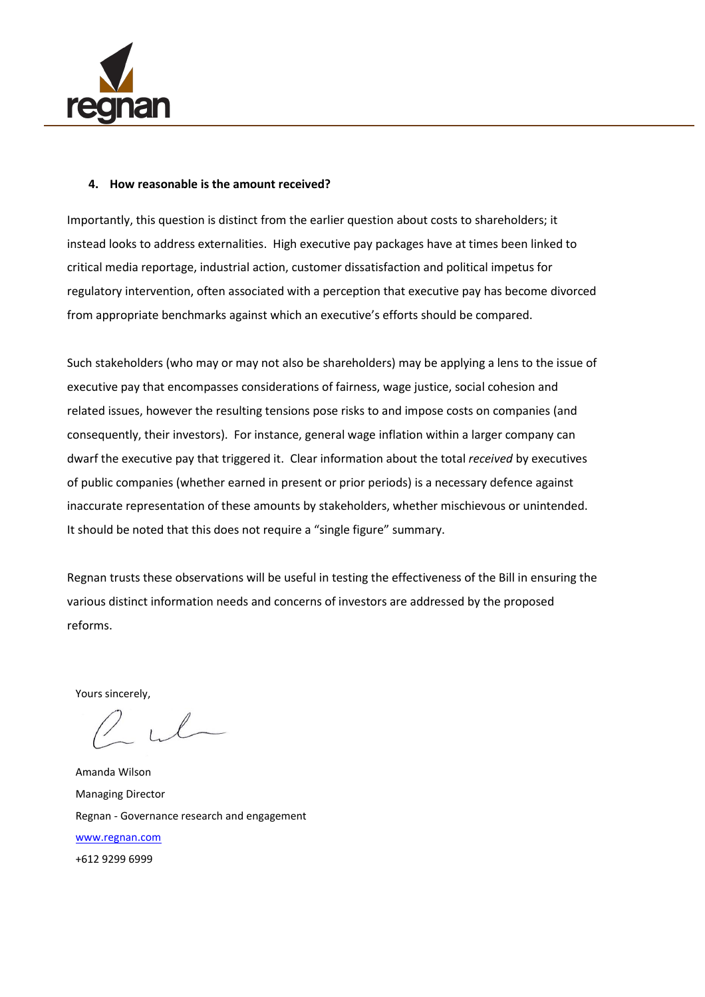

#### **4. How reasonable is the amount received?**

Importantly, this question is distinct from the earlier question about costs to shareholders; it instead looks to address externalities. High executive pay packages have at times been linked to critical media reportage, industrial action, customer dissatisfaction and political impetus for regulatory intervention, often associated with a perception that executive pay has become divorced from appropriate benchmarks against which an executive's efforts should be compared.

Such stakeholders (who may or may not also be shareholders) may be applying a lens to the issue of executive pay that encompasses considerations of fairness, wage justice, social cohesion and related issues, however the resulting tensions pose risks to and impose costs on companies (and consequently, their investors). For instance, general wage inflation within a larger company can dwarf the executive pay that triggered it. Clear information about the total *received* by executives of public companies (whether earned in present or prior periods) is a necessary defence against inaccurate representation of these amounts by stakeholders, whether mischievous or unintended. It should be noted that this does not require a "single figure" summary.

Regnan trusts these observations will be useful in testing the effectiveness of the Bill in ensuring the various distinct information needs and concerns of investors are addressed by the proposed reforms.

Yours sincerely,

Amanda Wilson Managing Director Regnan - Governance research and engagement [www.regnan.com](http://www.regnan.com/) +612 9299 6999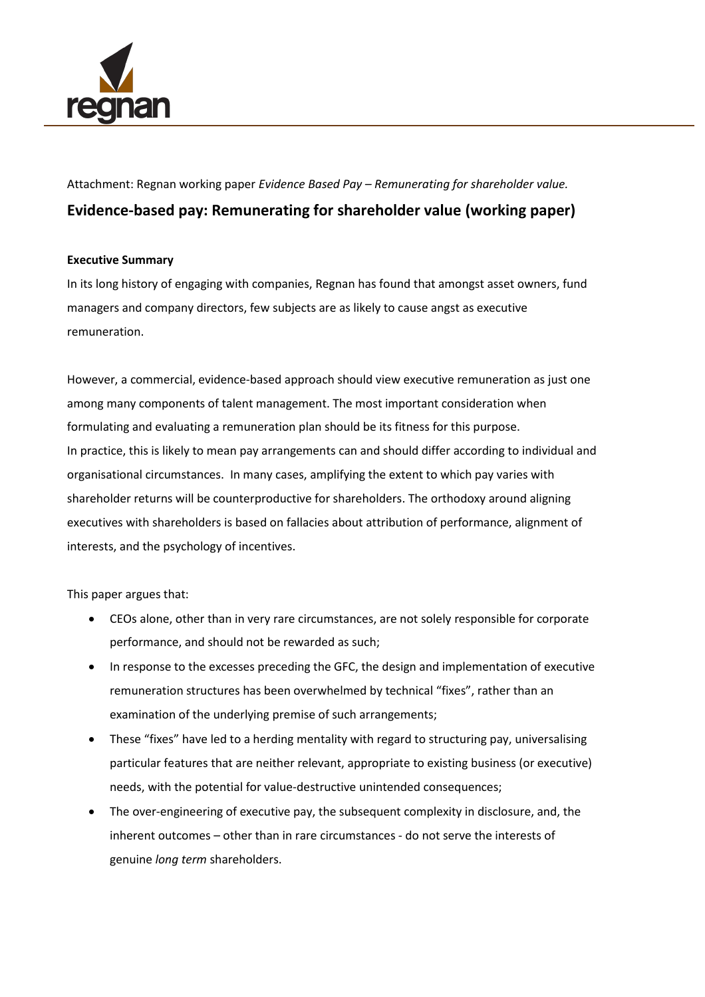

Attachment: Regnan working paper *Evidence Based Pay – Remunerating for shareholder value.* **Evidence-based pay: Remunerating for shareholder value (working paper)**

## **Executive Summary**

In its long history of engaging with companies, Regnan has found that amongst asset owners, fund managers and company directors, few subjects are as likely to cause angst as executive remuneration.

However, a commercial, evidence-based approach should view executive remuneration as just one among many components of talent management. The most important consideration when formulating and evaluating a remuneration plan should be its fitness for this purpose. In practice, this is likely to mean pay arrangements can and should differ according to individual and organisational circumstances. In many cases, amplifying the extent to which pay varies with shareholder returns will be counterproductive for shareholders. The orthodoxy around aligning executives with shareholders is based on fallacies about attribution of performance, alignment of interests, and the psychology of incentives.

This paper argues that:

- CEOs alone, other than in very rare circumstances, are not solely responsible for corporate performance, and should not be rewarded as such;
- In response to the excesses preceding the GFC, the design and implementation of executive remuneration structures has been overwhelmed by technical "fixes", rather than an examination of the underlying premise of such arrangements;
- These "fixes" have led to a herding mentality with regard to structuring pay, universalising particular features that are neither relevant, appropriate to existing business (or executive) needs, with the potential for value-destructive unintended consequences;
- The over-engineering of executive pay, the subsequent complexity in disclosure, and, the inherent outcomes – other than in rare circumstances - do not serve the interests of genuine *long term* shareholders.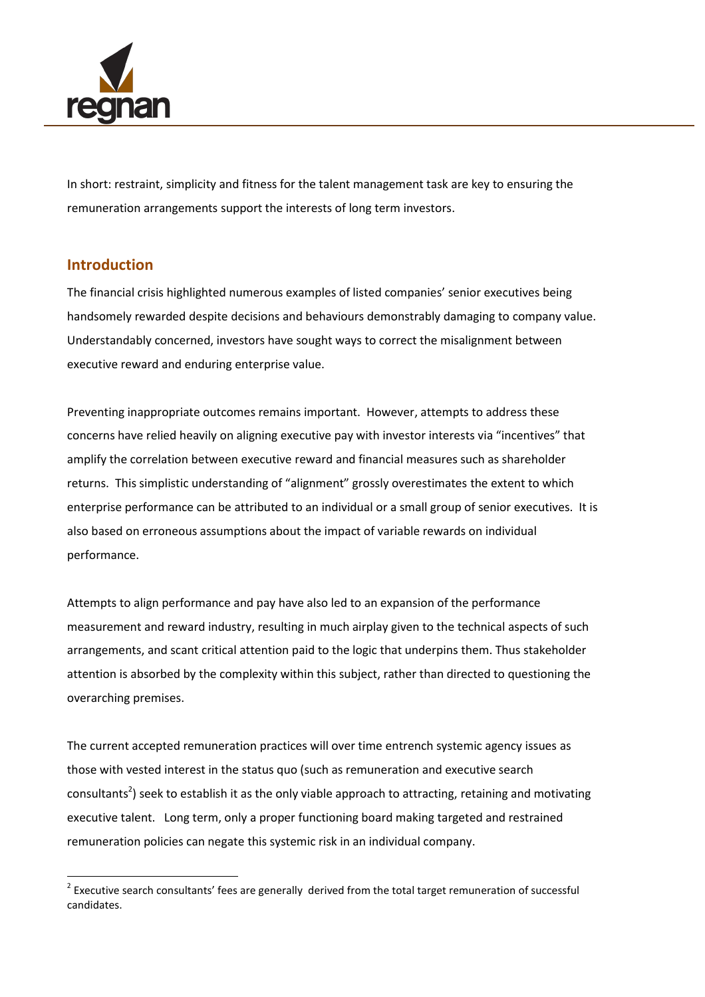

In short: restraint, simplicity and fitness for the talent management task are key to ensuring the remuneration arrangements support the interests of long term investors.

# **Introduction**

 $\overline{a}$ 

The financial crisis highlighted numerous examples of listed companies' senior executives being handsomely rewarded despite decisions and behaviours demonstrably damaging to company value. Understandably concerned, investors have sought ways to correct the misalignment between executive reward and enduring enterprise value.

Preventing inappropriate outcomes remains important. However, attempts to address these concerns have relied heavily on aligning executive pay with investor interests via "incentives" that amplify the correlation between executive reward and financial measures such as shareholder returns. This simplistic understanding of "alignment" grossly overestimates the extent to which enterprise performance can be attributed to an individual or a small group of senior executives. It is also based on erroneous assumptions about the impact of variable rewards on individual performance.

Attempts to align performance and pay have also led to an expansion of the performance measurement and reward industry, resulting in much airplay given to the technical aspects of such arrangements, and scant critical attention paid to the logic that underpins them. Thus stakeholder attention is absorbed by the complexity within this subject, rather than directed to questioning the overarching premises.

The current accepted remuneration practices will over time entrench systemic agency issues as those with vested interest in the status quo (such as remuneration and executive search consultants<sup>2</sup>) seek to establish it as the only viable approach to attracting, retaining and motivating executive talent. Long term, only a proper functioning board making targeted and restrained remuneration policies can negate this systemic risk in an individual company.

 $2$  Executive search consultants' fees are generally derived from the total target remuneration of successful candidates.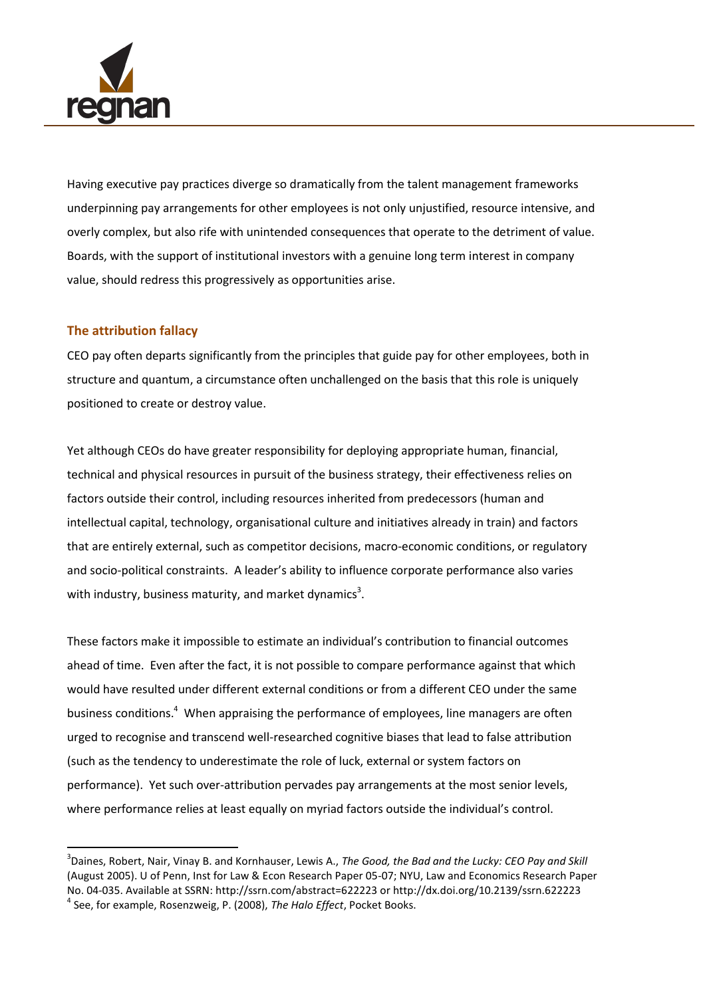

Having executive pay practices diverge so dramatically from the talent management frameworks underpinning pay arrangements for other employees is not only unjustified, resource intensive, and overly complex, but also rife with unintended consequences that operate to the detriment of value. Boards, with the support of institutional investors with a genuine long term interest in company value, should redress this progressively as opportunities arise.

## **The attribution fallacy**

 $\overline{a}$ 

CEO pay often departs significantly from the principles that guide pay for other employees, both in structure and quantum, a circumstance often unchallenged on the basis that this role is uniquely positioned to create or destroy value.

Yet although CEOs do have greater responsibility for deploying appropriate human, financial, technical and physical resources in pursuit of the business strategy, their effectiveness relies on factors outside their control, including resources inherited from predecessors (human and intellectual capital, technology, organisational culture and initiatives already in train) and factors that are entirely external, such as competitor decisions, macro-economic conditions, or regulatory and socio-political constraints. A leader's ability to influence corporate performance also varies with industry, business maturity, and market dynamics<sup>3</sup>.

These factors make it impossible to estimate an individual's contribution to financial outcomes ahead of time. Even after the fact, it is not possible to compare performance against that which would have resulted under different external conditions or from a different CEO under the same business conditions.<sup>4</sup> When appraising the performance of employees, line managers are often urged to recognise and transcend well-researched cognitive biases that lead to false attribution (such as the tendency to underestimate the role of luck, external or system factors on performance). Yet such over-attribution pervades pay arrangements at the most senior levels, where performance relies at least equally on myriad factors outside the individual's control.

<sup>3</sup> Daines, Robert, Nair, Vinay B. and Kornhauser, Lewis A., *The Good, the Bad and the Lucky: CEO Pay and Skill* (August 2005). U of Penn, Inst for Law & Econ Research Paper 05-07; NYU, Law and Economics Research Paper No. 04-035. Available at SSRN: http://ssrn.com/abstract=622223 or http://dx.doi.org/10.2139/ssrn.622223 4 See, for example, Rosenzweig, P. (2008), *The Halo Effect*, Pocket Books.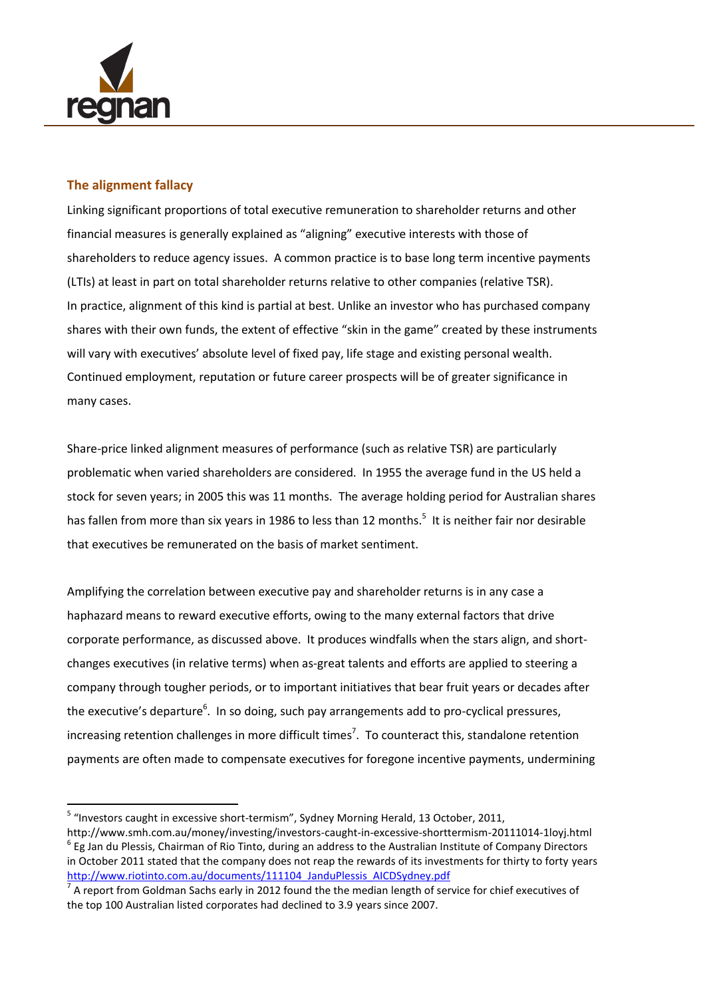

## **The alignment fallacy**

Linking significant proportions of total executive remuneration to shareholder returns and other financial measures is generally explained as "aligning" executive interests with those of shareholders to reduce agency issues. A common practice is to base long term incentive payments (LTIs) at least in part on total shareholder returns relative to other companies (relative TSR). In practice, alignment of this kind is partial at best. Unlike an investor who has purchased company shares with their own funds, the extent of effective "skin in the game" created by these instruments will vary with executives' absolute level of fixed pay, life stage and existing personal wealth. Continued employment, reputation or future career prospects will be of greater significance in many cases.

Share-price linked alignment measures of performance (such as relative TSR) are particularly problematic when varied shareholders are considered. In 1955 the average fund in the US held a stock for seven years; in 2005 this was 11 months. The average holding period for Australian shares has fallen from more than six years in 1986 to less than 12 months.<sup>5</sup> It is neither fair nor desirable that executives be remunerated on the basis of market sentiment.

Amplifying the correlation between executive pay and shareholder returns is in any case a haphazard means to reward executive efforts, owing to the many external factors that drive corporate performance, as discussed above. It produces windfalls when the stars align, and shortchanges executives (in relative terms) when as-great talents and efforts are applied to steering a company through tougher periods, or to important initiatives that bear fruit years or decades after the executive's departure<sup>6</sup>. In so doing, such pay arrangements add to pro-cyclical pressures, increasing retention challenges in more difficult times<sup>7</sup>. To counteract this, standalone retention payments are often made to compensate executives for foregone incentive payments, undermining

 5 "Investors caught in excessive short-termism", Sydney Morning Herald, 13 October, 2011,

http://www.smh.com.au/money/investing/investors-caught-in-excessive-shorttermism-20111014-1loyj.html  $^6$  Eg Jan du Plessis, Chairman of Rio Tinto, during an address to the Australian Institute of Company Directors in October 2011 stated that the company does not reap the rewards of its investments for thirty to forty years [http://www.riotinto.com.au/documents/111104\\_JanduPlessis\\_AICDSydney.pdf](http://www.riotinto.com.au/documents/111104_JanduPlessis_AICDSydney.pdf)

<sup>7</sup> A report from Goldman Sachs early in 2012 found the the median length of service for chief executives of the top 100 Australian listed corporates had declined to 3.9 years since 2007.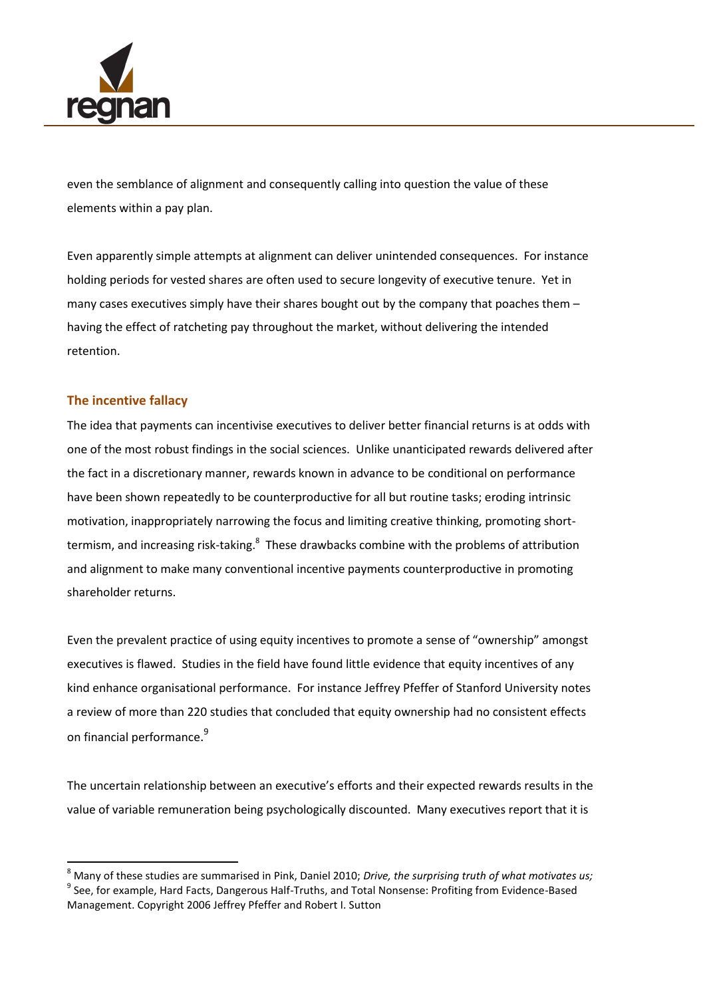

even the semblance of alignment and consequently calling into question the value of these elements within a pay plan.

Even apparently simple attempts at alignment can deliver unintended consequences. For instance holding periods for vested shares are often used to secure longevity of executive tenure. Yet in many cases executives simply have their shares bought out by the company that poaches them – having the effect of ratcheting pay throughout the market, without delivering the intended retention.

## **The incentive fallacy**

 $\overline{\phantom{a}}$ 

The idea that payments can incentivise executives to deliver better financial returns is at odds with one of the most robust findings in the social sciences. Unlike unanticipated rewards delivered after the fact in a discretionary manner, rewards known in advance to be conditional on performance have been shown repeatedly to be counterproductive for all but routine tasks; eroding intrinsic motivation, inappropriately narrowing the focus and limiting creative thinking, promoting shorttermism, and increasing risk-taking.<sup>8</sup> These drawbacks combine with the problems of attribution and alignment to make many conventional incentive payments counterproductive in promoting shareholder returns.

Even the prevalent practice of using equity incentives to promote a sense of "ownership" amongst executives is flawed. Studies in the field have found little evidence that equity incentives of any kind enhance organisational performance. For instance Jeffrey Pfeffer of Stanford University notes a review of more than 220 studies that concluded that equity ownership had no consistent effects on financial performance. 9

The uncertain relationship between an executive's efforts and their expected rewards results in the value of variable remuneration being psychologically discounted. Many executives report that it is

<sup>8</sup> Many of these studies are summarised in Pink, Daniel 2010; *Drive, the surprising truth of what motivates us;* <sup>9</sup> See, for example, Hard Facts, Dangerous Half-Truths, and Total Nonsense: Profiting from Evidence-Based Management. Copyright 2006 Jeffrey Pfeffer and Robert I. Sutton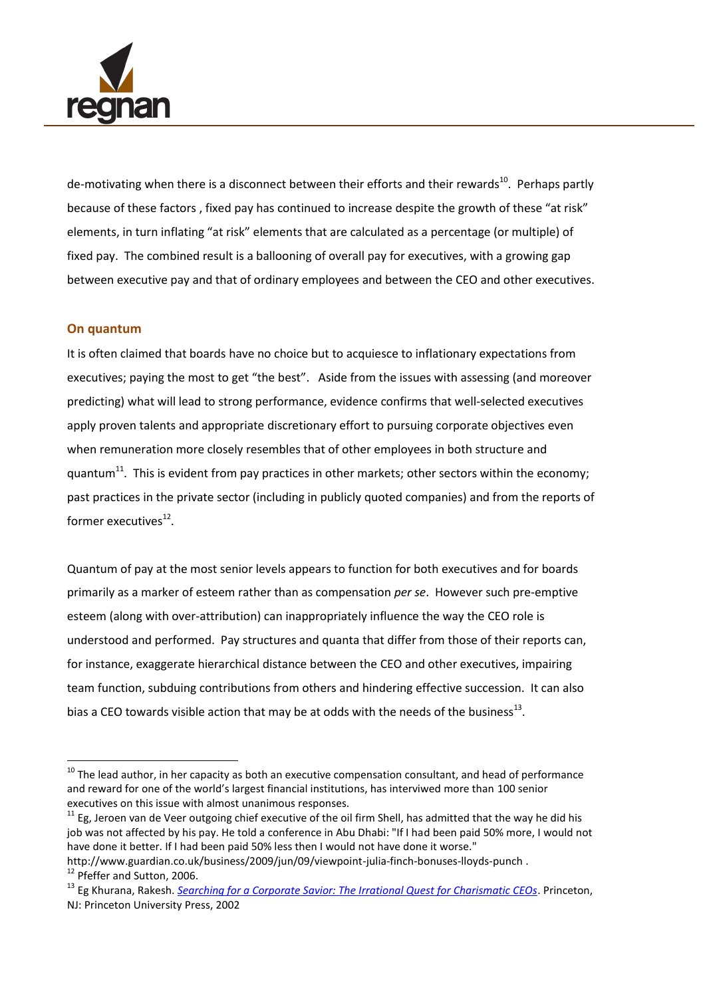

de-motivating when there is a disconnect between their efforts and their rewards<sup>10</sup>. Perhaps partly because of these factors , fixed pay has continued to increase despite the growth of these "at risk" elements, in turn inflating "at risk" elements that are calculated as a percentage (or multiple) of fixed pay. The combined result is a ballooning of overall pay for executives, with a growing gap between executive pay and that of ordinary employees and between the CEO and other executives.

#### **On quantum**

 $\overline{a}$ 

It is often claimed that boards have no choice but to acquiesce to inflationary expectations from executives; paying the most to get "the best". Aside from the issues with assessing (and moreover predicting) what will lead to strong performance, evidence confirms that well-selected executives apply proven talents and appropriate discretionary effort to pursuing corporate objectives even when remuneration more closely resembles that of other employees in both structure and quantum $^{11}$ . This is evident from pay practices in other markets; other sectors within the economy; past practices in the private sector (including in publicly quoted companies) and from the reports of former executives $^{12}$ .

Quantum of pay at the most senior levels appears to function for both executives and for boards primarily as a marker of esteem rather than as compensation *per se*. However such pre-emptive esteem (along with over-attribution) can inappropriately influence the way the CEO role is understood and performed. Pay structures and quanta that differ from those of their reports can, for instance, exaggerate hierarchical distance between the CEO and other executives, impairing team function, subduing contributions from others and hindering effective succession. It can also bias a CEO towards visible action that may be at odds with the needs of the business<sup>13</sup>.

 $^{10}$  The lead author, in her capacity as both an executive compensation consultant, and head of performance and reward for one of the world's largest financial institutions, has interviwed more than 100 senior executives on this issue with almost unanimous responses.

 $11$  Eg. Jeroen van de Veer outgoing chief executive of the oil firm Shell, has admitted that the way he did his job was not affected by his pay. He told a conference in Abu Dhabi: "If I had been paid 50% more, I would not have done it better. If I had been paid 50% less then I would not have done it worse."

http://www.guardian.co.uk/business/2009/jun/09/viewpoint-julia-finch-bonuses-lloyds-punch . <sup>12</sup> Pfeffer and Sutton, 2006.

<sup>13</sup> Eg Khurana, Rakesh. *[Searching for a Corporate Savior: The Irrational Quest for Charismatic CEOs](http://www.amazon.com/exec/obidos/ASIN/0691074372/qid=1022075108/sr=8-1/ref=sr_8_1/102-7232100-7556109)*. Princeton, NJ: Princeton University Press, 2002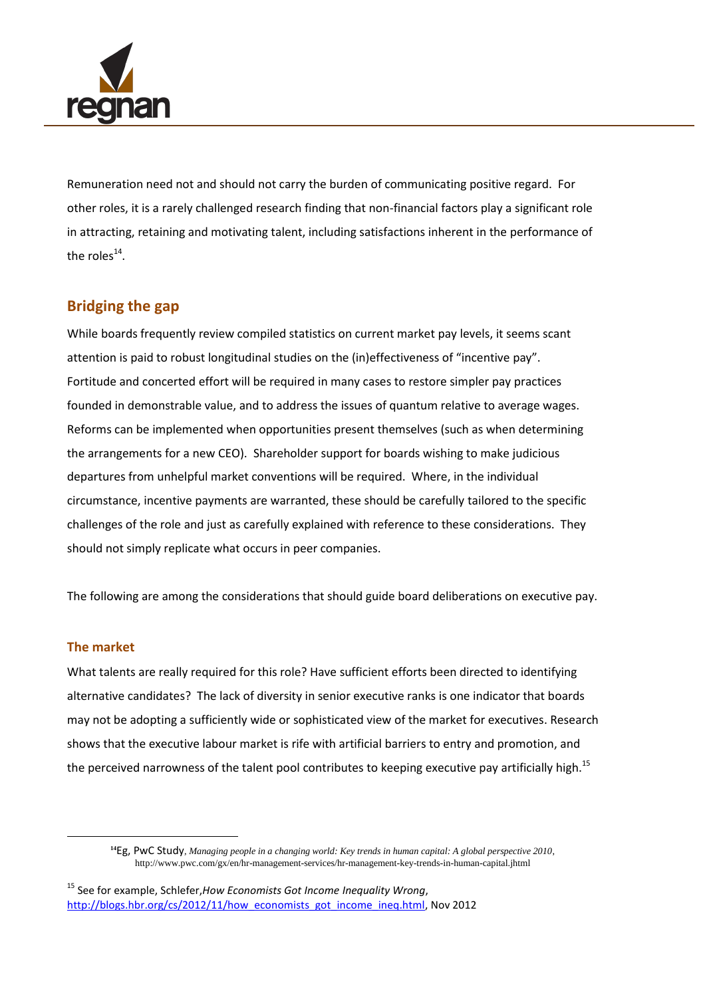

Remuneration need not and should not carry the burden of communicating positive regard. For other roles, it is a rarely challenged research finding that non-financial factors play a significant role in attracting, retaining and motivating talent, including satisfactions inherent in the performance of the roles<sup>14</sup>.

# **Bridging the gap**

While boards frequently review compiled statistics on current market pay levels, it seems scant attention is paid to robust longitudinal studies on the (in)effectiveness of "incentive pay". Fortitude and concerted effort will be required in many cases to restore simpler pay practices founded in demonstrable value, and to address the issues of quantum relative to average wages. Reforms can be implemented when opportunities present themselves (such as when determining the arrangements for a new CEO). Shareholder support for boards wishing to make judicious departures from unhelpful market conventions will be required. Where, in the individual circumstance, incentive payments are warranted, these should be carefully tailored to the specific challenges of the role and just as carefully explained with reference to these considerations. They should not simply replicate what occurs in peer companies.

The following are among the considerations that should guide board deliberations on executive pay.

#### **The market**

 $\overline{\phantom{a}}$ 

What talents are really required for this role? Have sufficient efforts been directed to identifying alternative candidates? The lack of diversity in senior executive ranks is one indicator that boards may not be adopting a sufficiently wide or sophisticated view of the market for executives. Research shows that the executive labour market is rife with artificial barriers to entry and promotion, and the perceived narrowness of the talent pool contributes to keeping executive pay artificially high.<sup>15</sup>

**<sup>14</sup>**Eg, PwC Study, *Managing people in a changing world: Key trends in human capital: A global perspective 2010*, http://www.pwc.com/gx/en/hr-management-services/hr-management-key-trends-in-human-capital.jhtml

<sup>15</sup> See for example, Schlefer,*How Economists Got Income Inequality Wrong*, [http://blogs.hbr.org/cs/2012/11/how\\_economists\\_got\\_income\\_ineq.html,](http://blogs.hbr.org/cs/2012/11/how_economists_got_income_ineq.html) Nov 2012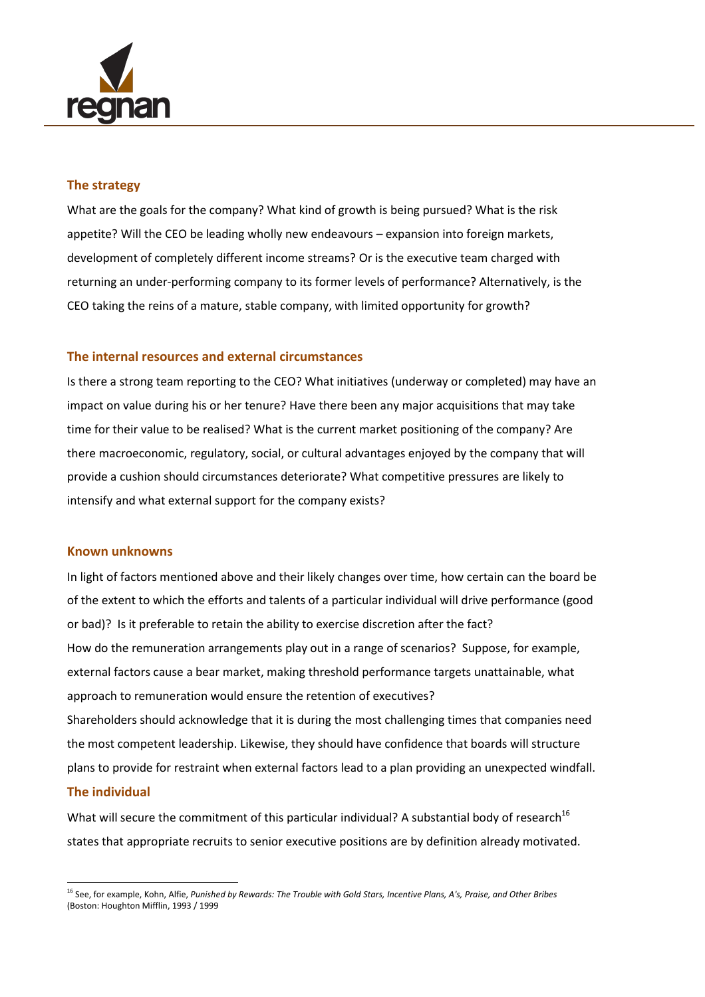

### **The strategy**

What are the goals for the company? What kind of growth is being pursued? What is the risk appetite? Will the CEO be leading wholly new endeavours – expansion into foreign markets, development of completely different income streams? Or is the executive team charged with returning an under-performing company to its former levels of performance? Alternatively, is the CEO taking the reins of a mature, stable company, with limited opportunity for growth?

## **The internal resources and external circumstances**

Is there a strong team reporting to the CEO? What initiatives (underway or completed) may have an impact on value during his or her tenure? Have there been any major acquisitions that may take time for their value to be realised? What is the current market positioning of the company? Are there macroeconomic, regulatory, social, or cultural advantages enjoyed by the company that will provide a cushion should circumstances deteriorate? What competitive pressures are likely to intensify and what external support for the company exists?

#### **Known unknowns**

In light of factors mentioned above and their likely changes over time, how certain can the board be of the extent to which the efforts and talents of a particular individual will drive performance (good or bad)? Is it preferable to retain the ability to exercise discretion after the fact? How do the remuneration arrangements play out in a range of scenarios? Suppose, for example, external factors cause a bear market, making threshold performance targets unattainable, what approach to remuneration would ensure the retention of executives? Shareholders should acknowledge that it is during the most challenging times that companies need the most competent leadership. Likewise, they should have confidence that boards will structure

plans to provide for restraint when external factors lead to a plan providing an unexpected windfall.

#### **The individual**

 $\overline{a}$ 

What will secure the commitment of this particular individual? A substantial body of research<sup>16</sup> states that appropriate recruits to senior executive positions are by definition already motivated.

<sup>16</sup> See, for example, Kohn, Alfie, *Punished by Rewards: The Trouble with Gold Stars, Incentive Plans, A's, Praise, and Other Bribes* (Boston: Houghton Mifflin, 1993 / 1999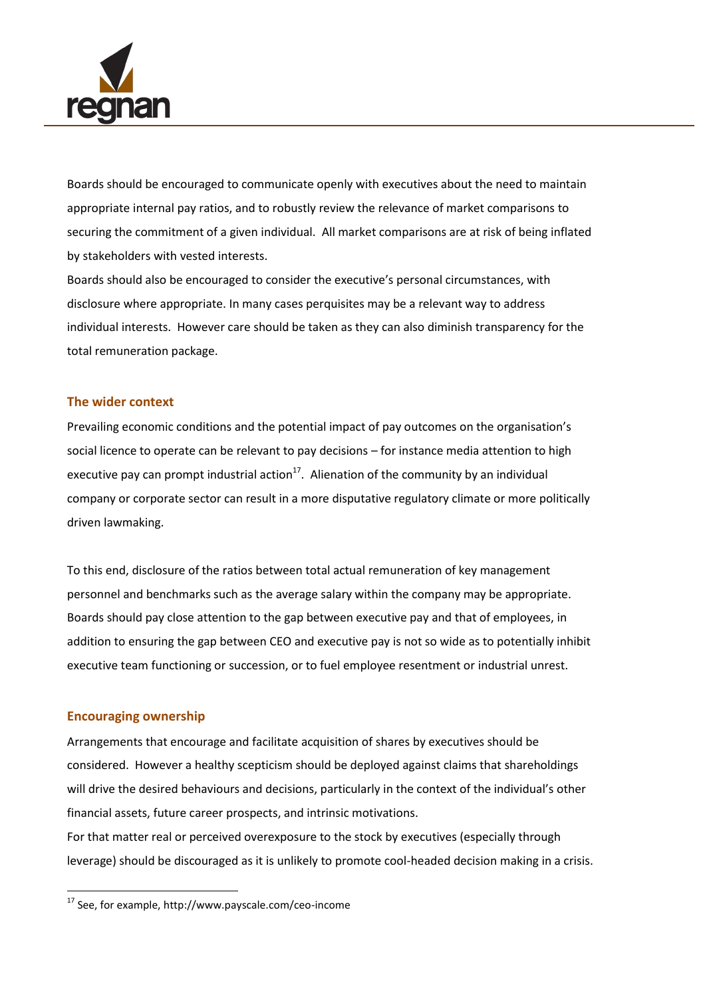

Boards should be encouraged to communicate openly with executives about the need to maintain appropriate internal pay ratios, and to robustly review the relevance of market comparisons to securing the commitment of a given individual. All market comparisons are at risk of being inflated by stakeholders with vested interests.

Boards should also be encouraged to consider the executive's personal circumstances, with disclosure where appropriate. In many cases perquisites may be a relevant way to address individual interests. However care should be taken as they can also diminish transparency for the total remuneration package.

#### **The wider context**

Prevailing economic conditions and the potential impact of pay outcomes on the organisation's social licence to operate can be relevant to pay decisions – for instance media attention to high executive pay can prompt industrial action<sup>17</sup>. Alienation of the community by an individual company or corporate sector can result in a more disputative regulatory climate or more politically driven lawmaking.

To this end, disclosure of the ratios between total actual remuneration of key management personnel and benchmarks such as the average salary within the company may be appropriate. Boards should pay close attention to the gap between executive pay and that of employees, in addition to ensuring the gap between CEO and executive pay is not so wide as to potentially inhibit executive team functioning or succession, or to fuel employee resentment or industrial unrest.

#### **Encouraging ownership**

 $\overline{\phantom{a}}$ 

Arrangements that encourage and facilitate acquisition of shares by executives should be considered. However a healthy scepticism should be deployed against claims that shareholdings will drive the desired behaviours and decisions, particularly in the context of the individual's other financial assets, future career prospects, and intrinsic motivations.

For that matter real or perceived overexposure to the stock by executives (especially through leverage) should be discouraged as it is unlikely to promote cool-headed decision making in a crisis.

<sup>17</sup> See, for example, http://www.payscale.com/ceo-income